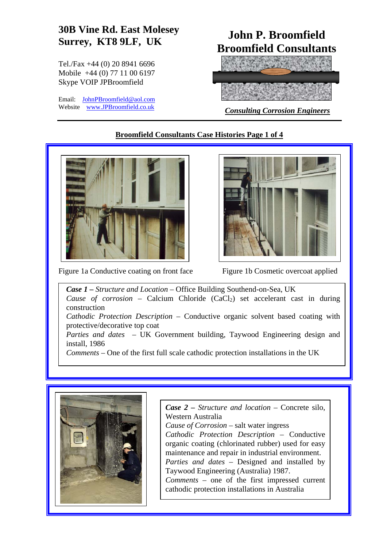# **30B Vine Rd. East Molesey Surrey, KT8 9LF, UK John P. Broomfield**

Tel./Fax +44 (0) 20 8941 6696 Mobile +44 (0) 77 11 00 6197 Skype VOIP JPBroomfield

Email: [JohnPBroomfield@aol.com](mailto:JohnPBroomfield@aol.com)<br>Website www.JPBroomfield.co.uk

# **Broomfield Consultants**



**Consulting Corrosion Engineers** 

# **Broomfield Consultants Case Histories Page 1 of 4**



Figure 1a Conductive coating on front face Figure 1b Cosmetic overcoat applied



*Case 1 – Structure and Location* – Office Building Southend-on-Sea, UK *Cause of corrosion* – Calcium Chloride (CaCl<sub>2</sub>) set accelerant cast in during construction *Cathodic Protection Description* – Conductive organic solvent based coating with protective/decorative top coat *Parties and dates* – UK Government building, Taywood Engineering design and install, 1986

*Comments* – One of the first full scale cathodic protection installations in the UK



*Case 2 – Structure and location –* Concrete silo, Western Australia *Cause of Corrosion –* salt water ingress *Cathodic Protection Description* – Conductive organic coating (chlorinated rubber) used for easy maintenance and repair in industrial environment. *Parties and dates –* Designed and installed by Taywood Engineering (Australia) 1987. *Comments* – one of the first impressed current cathodic protection installations in Australia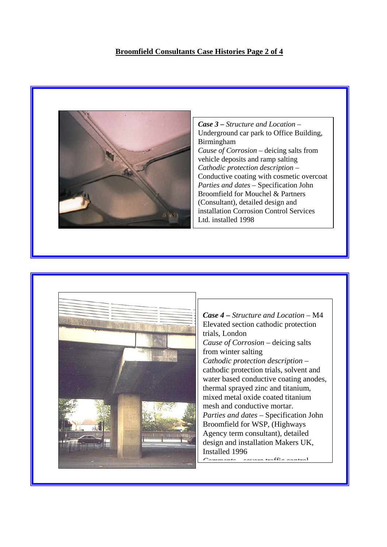#### **Broomfield Consultants Case Histories Page 2 of 4**



*Case 3 – Structure and Location* – Underground car park to Office Building, Birmingham *Cause of Corrosion* – deicing salts from vehicle deposits and ramp salting *Cathodic protection description –*  Conductive coating with cosmetic overcoat *Parties and dates* – Specification John Broomfield for Mouchel & Partners (Consultant), detailed design and installation Corrosion Control Services Ltd. installed 1998



*Case 4 – Structure and Location* – M4 Elevated section cathodic protection trials, London *Cause of Corrosion –* deicing salts from winter salting *Cathodic protection description* – cathodic protection trials, solvent and water based conductive coating anodes, thermal sprayed zinc and titanium, mixed metal oxide coated titanium mesh and conductive mortar. *Parties and dates* – Specification John Broomfield for WSP, (Highways Agency term consultant), detailed design and installation Makers UK, Installed 1996 *Comments* severe traffic control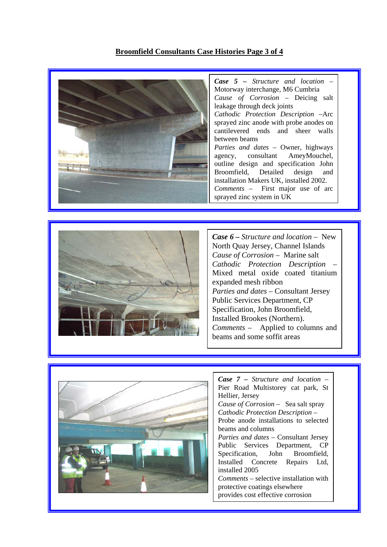### **Broomfield Consultants Case Histories Page 3 of 4**





*Case 6 – Structure and location –* New North Quay Jersey, Channel Islands *Cause of Corrosion* – Marine salt *Cathodic Protection Description* – Mixed metal oxide coated titanium expanded mesh ribbon *Parties and dates –* Consultant Jersey Public Services Department, CP Specification, John Broomfield, Installed Brookes (Northern). *Comments –* Applied to columns and beams and some soffit areas



*Case 7 – Structure and location –* Pier Road Multistorey cat park, St Hellier, Jersey *Cause of Corrosion* – Sea salt spray *Cathodic Protection Description* – Probe anode installations to selected beams and columns *Parties and dates –* Consultant Jersey Public Services Department, CP Specification, John Broomfield, Installed Concrete Repairs Ltd, installed 2005 *Comments –* selective installation with protective coatings elsewhere provides cost effective corrosion